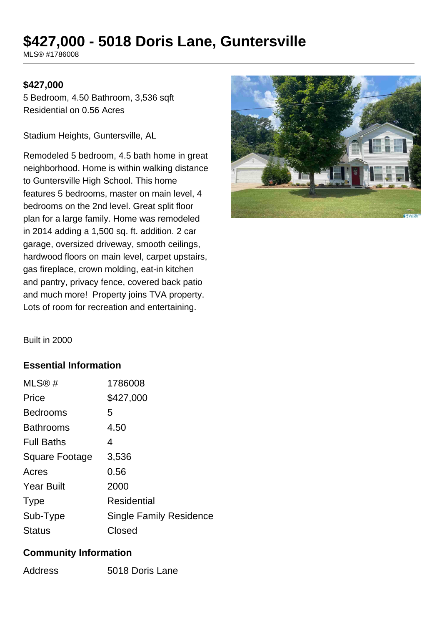# **\$427,000 - 5018 Doris Lane, Guntersville**

MLS® #1786008

#### **\$427,000**

5 Bedroom, 4.50 Bathroom, 3,536 sqft Residential on 0.56 Acres

Stadium Heights, Guntersville, AL

Remodeled 5 bedroom, 4.5 bath home in great neighborhood. Home is within walking distance to Guntersville High School. This home features 5 bedrooms, master on main level, 4 bedrooms on the 2nd level. Great split floor plan for a large family. Home was remodeled in 2014 adding a 1,500 sq. ft. addition. 2 car garage, oversized driveway, smooth ceilings, hardwood floors on main level, carpet upstairs, gas fireplace, crown molding, eat-in kitchen and pantry, privacy fence, covered back patio and much more! Property joins TVA property. Lots of room for recreation and entertaining.



Built in 2000

#### **Essential Information**

| MLS®#                 | 1786008                 |
|-----------------------|-------------------------|
| Price                 | \$427,000               |
| <b>Bedrooms</b>       | 5                       |
| <b>Bathrooms</b>      | 4.50                    |
| <b>Full Baths</b>     | 4                       |
| <b>Square Footage</b> | 3,536                   |
| Acres                 | 0.56                    |
| <b>Year Built</b>     | 2000                    |
| <b>Type</b>           | Residential             |
| Sub-Type              | Single Family Residence |
| <b>Status</b>         | Closed                  |

#### **Community Information**

| Address | 5018 Doris Lane |
|---------|-----------------|
|         |                 |